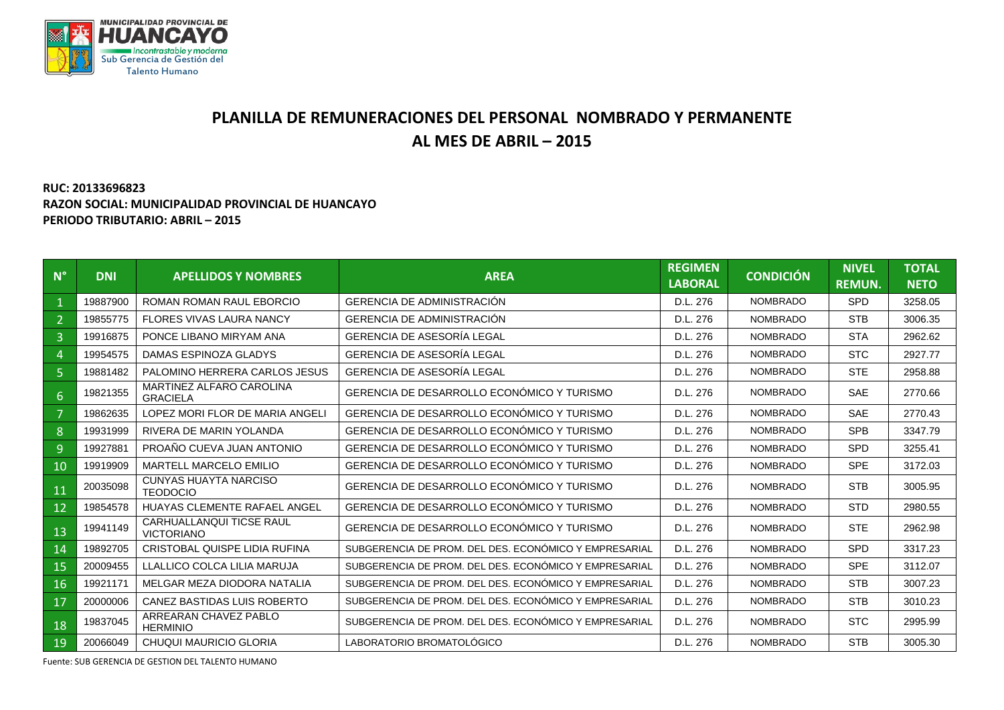

## **PLANILLA DE REMUNERACIONES DEL PERSONAL NOMBRADO Y PERMANENTE AL MES DE ABRIL – 2015**

## **RUC: 20133696823 RAZON SOCIAL: MUNICIPALIDAD PROVINCIAL DE HUANCAYO PERIODO TRIBUTARIO: ABRIL – 2015**

| $N^{\circ}$    | <b>DNI</b> | <b>APELLIDOS Y NOMBRES</b>                      | <b>AREA</b>                                           | <b>REGIMEN</b><br><b>LABORAL</b> | <b>CONDICIÓN</b> | <b>NIVEL</b><br><b>REMUN.</b> | <b>TOTAL</b><br><b>NETO</b> |
|----------------|------------|-------------------------------------------------|-------------------------------------------------------|----------------------------------|------------------|-------------------------------|-----------------------------|
|                | 19887900   | ROMAN ROMAN RAUL FBORCIO                        | <b>GERENCIA DE ADMINISTRACIÓN</b>                     | D.L. 276                         | <b>NOMBRADO</b>  | <b>SPD</b>                    | 3258.05                     |
| $\overline{2}$ | 19855775   | <b>FLORES VIVAS LAURA NANCY</b>                 | <b>GERENCIA DE ADMINISTRACIÓN</b>                     | D.L. 276                         | <b>NOMBRADO</b>  | <b>STB</b>                    | 3006.35                     |
| $\overline{3}$ | 19916875   | PONCE LIBANO MIRYAM ANA                         | GERENCIA DE ASESORÍA LEGAL                            | D.L. 276                         | <b>NOMBRADO</b>  | <b>STA</b>                    | 2962.62                     |
| $\overline{4}$ | 19954575   | DAMAS ESPINOZA GLADYS                           | GERENCIA DE ASESORÍA LEGAL                            | D.L. 276                         | <b>NOMBRADO</b>  | STC                           | 2927.77                     |
| $\overline{5}$ | 19881482   | PALOMINO HERRERA CARLOS JESUS                   | <b>GERENCIA DE ASESORÍA LEGAL</b>                     | D.L. 276                         | <b>NOMBRADO</b>  | STE                           | 2958.88                     |
| 6              | 19821355   | MARTINEZ ALFARO CAROLINA<br><b>GRACIELA</b>     | GERENCIA DE DESARROLLO ECONÓMICO Y TURISMO            | D.L. 276                         | <b>NOMBRADO</b>  | <b>SAE</b>                    | 2770.66                     |
|                | 19862635   | LOPEZ MORI FLOR DE MARIA ANGELI                 | GERENCIA DE DESARROLLO ECONÓMICO Y TURISMO            | D.L. 276                         | <b>NOMBRADO</b>  | <b>SAE</b>                    | 2770.43                     |
| 8              | 19931999   | RIVERA DE MARIN YOLANDA                         | GERENCIA DE DESARROLLO ECONÓMICO Y TURISMO            | D.L. 276                         | <b>NOMBRADO</b>  | <b>SPB</b>                    | 3347.79                     |
| $\overline{9}$ | 19927881   | PROAÑO CUEVA JUAN ANTONIO                       | GERENCIA DE DESARROLLO ECONÓMICO Y TURISMO            | D.L. 276                         | <b>NOMBRADO</b>  | <b>SPD</b>                    | 3255.41                     |
| 10             | 19919909   | MARTELL MARCELO EMILIO                          | GERENCIA DE DESARROLLO ECONÓMICO Y TURISMO            | D.L. 276                         | <b>NOMBRADO</b>  | <b>SPE</b>                    | 3172.03                     |
| 11             | 20035098   | <b>CUNYAS HUAYTA NARCISO</b><br><b>TEODOCIO</b> | GERENCIA DE DESARROLLO ECONÓMICO Y TURISMO            | D.L. 276                         | <b>NOMBRADO</b>  | <b>STB</b>                    | 3005.95                     |
| 12             | 19854578   | <b>HUAYAS CLEMENTE RAFAEL ANGEL</b>             | GERENCIA DE DESARROLLO ECONÓMICO Y TURISMO            | D.L. 276                         | <b>NOMBRADO</b>  | <b>STD</b>                    | 2980.55                     |
| 13             | 19941149   | CARHUALLANQUI TICSE RAUL<br><b>VICTORIANO</b>   | GERENCIA DE DESARROLLO ECONÓMICO Y TURISMO            | D.L. 276                         | <b>NOMBRADO</b>  | STE                           | 2962.98                     |
| 14             | 19892705   | CRISTOBAL QUISPE LIDIA RUFINA                   | SUBGERENCIA DE PROM. DEL DES. ECONÓMICO Y EMPRESARIAL | D.L. 276                         | <b>NOMBRADO</b>  | <b>SPD</b>                    | 3317.23                     |
| 15             | 20009455   | LLALLICO COLCA LILIA MARUJA                     | SUBGERENCIA DE PROM. DEL DES. ECONÓMICO Y EMPRESARIAL | D.L. 276                         | <b>NOMBRADO</b>  | <b>SPE</b>                    | 3112.07                     |
| 16             | 19921171   | MELGAR MEZA DIODORA NATALIA                     | SUBGERENCIA DE PROM. DEL DES. ECONÓMICO Y EMPRESARIAL | D.L. 276                         | <b>NOMBRADO</b>  | <b>STB</b>                    | 3007.23                     |
| 17             | 20000006   | CANEZ BASTIDAS LUIS ROBERTO                     | SUBGERENCIA DE PROM. DEL DES. ECONÓMICO Y EMPRESARIAL | D.L. 276                         | <b>NOMBRADO</b>  | <b>STB</b>                    | 3010.23                     |
| 18             | 19837045   | ARREARAN CHAVEZ PABLO<br><b>HERMINIO</b>        | SUBGERENCIA DE PROM. DEL DES. ECONÓMICO Y EMPRESARIAL | D.L. 276                         | <b>NOMBRADO</b>  | <b>STC</b>                    | 2995.99                     |
| 19             | 20066049   | <b>CHUQUI MAURICIO GLORIA</b>                   | LABORATORIO BROMATOLÓGICO                             | D.L. 276                         | <b>NOMBRADO</b>  | <b>STB</b>                    | 3005.30                     |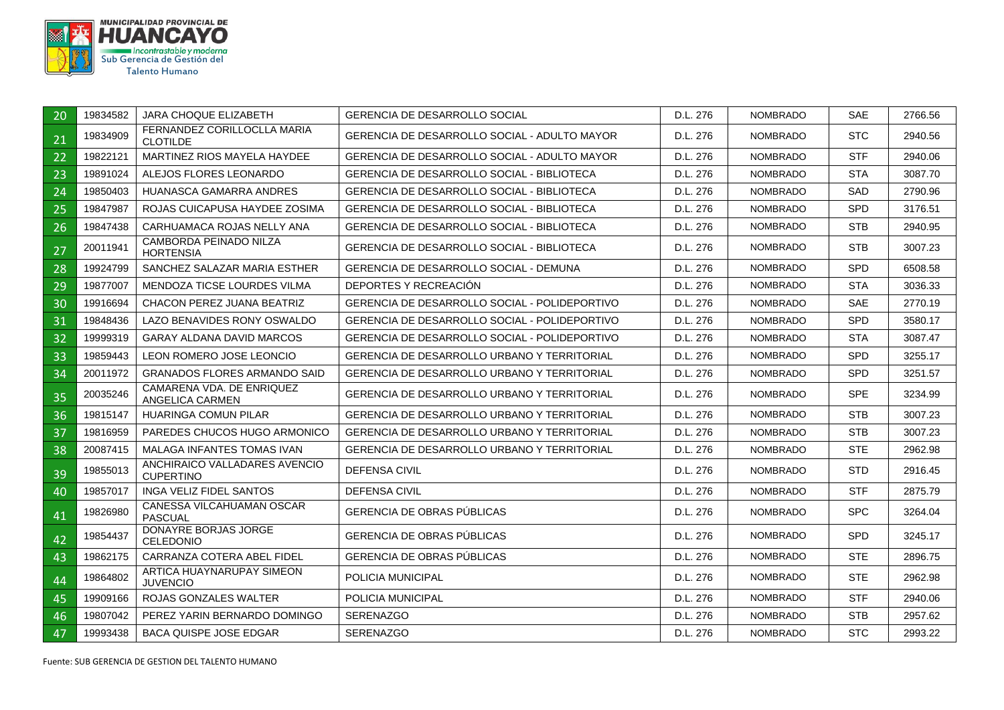

| 20 | 19834582 | <b>JARA CHOQUE ELIZABETH</b>                      | <b>GERENCIA DE DESARROLLO SOCIAL</b>                | D.L. 276 | <b>NOMBRADO</b> | <b>SAE</b> | 2766.56 |
|----|----------|---------------------------------------------------|-----------------------------------------------------|----------|-----------------|------------|---------|
| 21 | 19834909 | FERNANDEZ CORILLOCLLA MARIA<br><b>CLOTILDE</b>    | <b>GERENCIA DE DESARROLLO SOCIAL - ADULTO MAYOR</b> | D.L. 276 | <b>NOMBRADO</b> | <b>STC</b> | 2940.56 |
| 22 | 19822121 | MARTINEZ RIOS MAYELA HAYDEE                       | <b>GERENCIA DE DESARROLLO SOCIAL - ADULTO MAYOR</b> | D.L. 276 | <b>NOMBRADO</b> | <b>STF</b> | 2940.06 |
| 23 | 19891024 | ALEJOS FLORES LEONARDO                            | GERENCIA DE DESARROLLO SOCIAL - BIBLIOTECA          | D.L. 276 | <b>NOMBRADO</b> | <b>STA</b> | 3087.70 |
| 24 | 19850403 | HUANASCA GAMARRA ANDRES                           | GERENCIA DE DESARROLLO SOCIAL - BIBLIOTECA          | D.L. 276 | <b>NOMBRADO</b> | SAD        | 2790.96 |
| 25 | 19847987 | ROJAS CUICAPUSA HAYDEE ZOSIMA                     | <b>GERENCIA DE DESARROLLO SOCIAL - BIBLIOTECA</b>   | D.L. 276 | <b>NOMBRADO</b> | <b>SPD</b> | 3176.51 |
| 26 | 19847438 | CARHUAMACA ROJAS NELLY ANA                        | <b>GERENCIA DE DESARROLLO SOCIAL - BIBLIOTECA</b>   | D.L. 276 | <b>NOMBRADO</b> | STB        | 2940.95 |
| 27 | 20011941 | CAMBORDA PEINADO NILZA<br><b>HORTENSIA</b>        | GERENCIA DE DESARROLLO SOCIAL - BIBLIOTECA          | D.L. 276 | <b>NOMBRADO</b> | STB        | 3007.23 |
| 28 | 19924799 | SANCHEZ SALAZAR MARIA ESTHER                      | <b>GERENCIA DE DESARROLLO SOCIAL - DEMUNA</b>       | D.L. 276 | <b>NOMBRADO</b> | <b>SPD</b> | 6508.58 |
| 29 | 19877007 | MENDOZA TICSE LOURDES VILMA                       | DEPORTES Y RECREACIÓN                               | D.L. 276 | <b>NOMBRADO</b> | <b>STA</b> | 3036.33 |
| 30 | 19916694 | CHACON PEREZ JUANA BEATRIZ                        | GERENCIA DE DESARROLLO SOCIAL - POLIDEPORTIVO       | D.L. 276 | <b>NOMBRADO</b> | <b>SAE</b> | 2770.19 |
| 31 | 19848436 | LAZO BENAVIDES RONY OSWALDO                       | GERENCIA DE DESARROLLO SOCIAL - POLIDEPORTIVO       | D.L. 276 | <b>NOMBRADO</b> | SPD        | 3580.17 |
| 32 | 19999319 | <b>GARAY ALDANA DAVID MARCOS</b>                  | GERENCIA DE DESARROLLO SOCIAL - POLIDEPORTIVO       | D.L. 276 | <b>NOMBRADO</b> | <b>STA</b> | 3087.47 |
| 33 | 19859443 | LEON ROMERO JOSE LEONCIO                          | <b>GERENCIA DE DESARROLLO URBANO Y TERRITORIAL</b>  | D.L. 276 | <b>NOMBRADO</b> | <b>SPD</b> | 3255.17 |
| 34 | 20011972 | <b>GRANADOS FLORES ARMANDO SAID</b>               | <b>GERENCIA DE DESARROLLO URBANO Y TERRITORIAL</b>  | D.L. 276 | <b>NOMBRADO</b> | <b>SPD</b> | 3251.57 |
| 35 | 20035246 | CAMARENA VDA, DE ENRIQUEZ<br>ANGELICA CARMEN      | <b>GERENCIA DE DESARROLLO URBANO Y TERRITORIAL</b>  | D.L. 276 | <b>NOMBRADO</b> | <b>SPE</b> | 3234.99 |
| 36 | 19815147 | <b>HUARINGA COMUN PILAR</b>                       | <b>GERENCIA DE DESARROLLO URBANO Y TERRITORIAL</b>  | D.L. 276 | <b>NOMBRADO</b> | <b>STB</b> | 3007.23 |
| 37 | 19816959 | PAREDES CHUCOS HUGO ARMONICO                      | <b>GERENCIA DE DESARROLLO URBANO Y TERRITORIAL</b>  | D.L. 276 | <b>NOMBRADO</b> | <b>STB</b> | 3007.23 |
| 38 | 20087415 | <b>MALAGA INFANTES TOMAS IVAN</b>                 | GERENCIA DE DESARROLLO URBANO Y TERRITORIAL         | D.L. 276 | <b>NOMBRADO</b> | <b>STE</b> | 2962.98 |
| 39 | 19855013 | ANCHIRAICO VALLADARES AVENCIO<br><b>CUPERTINO</b> | <b>DEFENSA CIVIL</b>                                | D.L. 276 | <b>NOMBRADO</b> | <b>STD</b> | 2916.45 |
| 40 | 19857017 | <b>INGA VELIZ FIDEL SANTOS</b>                    | <b>DEFENSA CIVIL</b>                                | D.L. 276 | <b>NOMBRADO</b> | <b>STF</b> | 2875.79 |
| 41 | 19826980 | CANESSA VILCAHUAMAN OSCAR<br><b>PASCUAL</b>       | GERENCIA DE OBRAS PUBLICAS                          | D.L. 276 | <b>NOMBRADO</b> | <b>SPC</b> | 3264.04 |
| 42 | 19854437 | DONAYRE BORJAS JORGE<br>CELEDONIO                 | GERENCIA DE OBRAS PÚBLICAS                          | D.L. 276 | <b>NOMBRADO</b> | <b>SPD</b> | 3245.17 |
| 43 | 19862175 | CARRANZA COTERA ABEL FIDEL                        | <b>GERENCIA DE OBRAS PÚBLICAS</b>                   | D.L. 276 | <b>NOMBRADO</b> | STE.       | 2896.75 |
| 44 | 19864802 | ARTICA HUAYNARUPAY SIMEON<br><b>JUVENCIO</b>      | POLICIA MUNICIPAL                                   | D.L. 276 | <b>NOMBRADO</b> | STE.       | 2962.98 |
| 45 | 19909166 | <b>ROJAS GONZALES WALTER</b>                      | POLICIA MUNICIPAL                                   | D.L. 276 | <b>NOMBRADO</b> | <b>STF</b> | 2940.06 |
| 46 | 19807042 | PEREZ YARIN BERNARDO DOMINGO                      | <b>SERENAZGO</b>                                    | D.L. 276 | <b>NOMBRADO</b> | <b>STB</b> | 2957.62 |
| 47 | 19993438 | <b>BACA QUISPE JOSE EDGAR</b>                     | <b>SERENAZGO</b>                                    | D.L. 276 | <b>NOMBRADO</b> | <b>STC</b> | 2993.22 |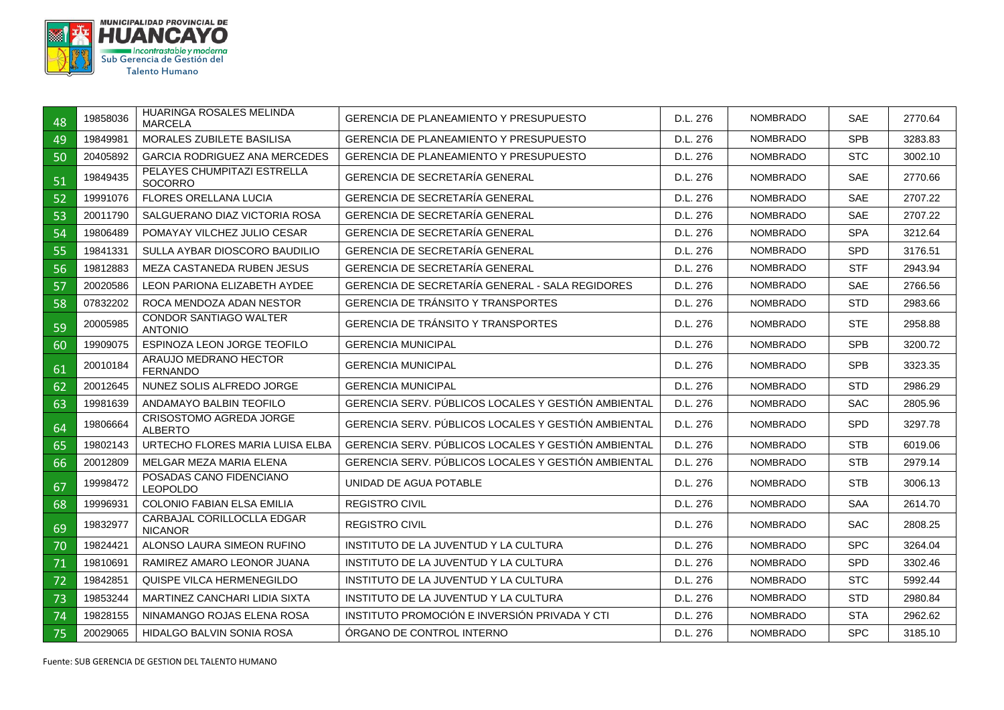

| 48 | 19858036 | HUARINGA ROSALES MELINDA<br><b>MARCELA</b>       | <b>GERENCIA DE PLANEAMIENTO Y PRESUPUESTO</b>       | D.L. 276 | <b>NOMBRADO</b> | <b>SAE</b> | 2770.64 |
|----|----------|--------------------------------------------------|-----------------------------------------------------|----------|-----------------|------------|---------|
| 49 | 19849981 | MORALES ZUBILETE BASILISA                        | <b>GERENCIA DE PLANEAMIENTO Y PRESUPUESTO</b>       | D.L. 276 | <b>NOMBRADO</b> | <b>SPB</b> | 3283.83 |
| 50 | 20405892 | <b>GARCIA RODRIGUEZ ANA MERCEDES</b>             | <b>GERENCIA DE PLANEAMIENTO Y PRESUPUESTO</b>       | D.L. 276 | <b>NOMBRADO</b> | <b>STC</b> | 3002.10 |
| 51 | 19849435 | PELAYES CHUMPITAZI ESTRELLA<br><b>SOCORRO</b>    | GERENCIA DE SECRETARÍA GENERAL                      | D.L. 276 | <b>NOMBRADO</b> | <b>SAE</b> | 2770.66 |
| 52 | 19991076 | <b>FLORES ORELLANA LUCIA</b>                     | GERENCIA DE SECRETARÍA GENERAL                      | D.L. 276 | <b>NOMBRADO</b> | <b>SAE</b> | 2707.22 |
| 53 | 20011790 | SALGUERANO DIAZ VICTORIA ROSA                    | <b>GERENCIA DE SECRETARÍA GENERAL</b>               | D.L. 276 | <b>NOMBRADO</b> | <b>SAE</b> | 2707.22 |
| 54 | 19806489 | POMAYAY VILCHEZ JULIO CESAR                      | GERENCIA DE SECRETARÍA GENERAL                      | D.L. 276 | <b>NOMBRADO</b> | <b>SPA</b> | 3212.64 |
| 55 | 19841331 | SULLA AYBAR DIOSCORO BAUDILIO                    | GERENCIA DE SECRETARÍA GENERAL                      | D.L. 276 | <b>NOMBRADO</b> | SPD        | 3176.51 |
| 56 | 19812883 | <b>MEZA CASTANEDA RUBEN JESUS</b>                | GERENCIA DE SECRETARÍA GENERAL                      | D.L. 276 | <b>NOMBRADO</b> | <b>STF</b> | 2943.94 |
| 57 | 20020586 | <b>LEON PARIONA ELIZABETH AYDEE</b>              | GERENCIA DE SECRETARÍA GENERAL - SALA REGIDORES     | D.L. 276 | <b>NOMBRADO</b> | <b>SAE</b> | 2766.56 |
| 58 | 07832202 | ROCA MENDOZA ADAN NESTOR                         | <b>GERENCIA DE TRÁNSITO Y TRANSPORTES</b>           | D.L. 276 | <b>NOMBRADO</b> | <b>STD</b> | 2983.66 |
| 59 | 20005985 | <b>CONDOR SANTIAGO WALTER</b><br><b>ANTONIO</b>  | GERENCIA DE TRÁNSITO Y TRANSPORTES                  | D.L. 276 | <b>NOMBRADO</b> | <b>STE</b> | 2958.88 |
| 60 | 19909075 | ESPINOZA LEON JORGE TEOFILO                      | <b>GERENCIA MUNICIPAL</b>                           | D.L. 276 | <b>NOMBRADO</b> | <b>SPB</b> | 3200.72 |
| 61 | 20010184 | ARAUJO MEDRANO HECTOR<br><b>FERNANDO</b>         | <b>GERENCIA MUNICIPAL</b>                           | D.L. 276 | <b>NOMBRADO</b> | <b>SPB</b> | 3323.35 |
| 62 | 20012645 | NUNEZ SOLIS ALFREDO JORGE                        | <b>GERENCIA MUNICIPAL</b>                           | D.L. 276 | <b>NOMBRADO</b> | <b>STD</b> | 2986.29 |
| 63 | 19981639 | ANDAMAYO BALBIN TEOFILO                          | GERENCIA SERV. PÚBLICOS LOCALES Y GESTIÓN AMBIENTAL | D.L. 276 | <b>NOMBRADO</b> | <b>SAC</b> | 2805.96 |
| 64 | 19806664 | <b>CRISOSTOMO AGREDA JORGE</b><br><b>ALBERTO</b> | GERENCIA SERV. PÚBLICOS LOCALES Y GESTIÓN AMBIENTAL | D.L. 276 | <b>NOMBRADO</b> | SPD        | 3297.78 |
| 65 | 19802143 | URTECHO FLORES MARIA LUISA ELBA                  | GERENCIA SERV. PÚBLICOS LOCALES Y GESTIÓN AMBIENTAL | D.L. 276 | <b>NOMBRADO</b> | <b>STB</b> | 6019.06 |
| 66 | 20012809 | MELGAR MEZA MARIA ELENA                          | GERENCIA SERV. PÚBLICOS LOCALES Y GESTIÓN AMBIENTAL | D.L. 276 | <b>NOMBRADO</b> | <b>STB</b> | 2979.14 |
| 67 | 19998472 | POSADAS CANO FIDENCIANO<br><b>LEOPOLDO</b>       | UNIDAD DE AGUA POTABLE                              | D.L. 276 | <b>NOMBRADO</b> | <b>STB</b> | 3006.13 |
| 68 | 19996931 | <b>COLONIO FABIAN ELSA EMILIA</b>                | <b>REGISTRO CIVIL</b>                               | D.L. 276 | <b>NOMBRADO</b> | <b>SAA</b> | 2614.70 |
| 69 | 19832977 | CARBAJAL CORILLOCLLA EDGAR<br><b>NICANOR</b>     | <b>REGISTRO CIVIL</b>                               | D.L. 276 | <b>NOMBRADO</b> | <b>SAC</b> | 2808.25 |
| 70 | 19824421 | ALONSO LAURA SIMEON RUFINO                       | INSTITUTO DE LA JUVENTUD Y LA CULTURA               | D.L. 276 | <b>NOMBRADO</b> | <b>SPC</b> | 3264.04 |
| 71 | 19810691 | RAMIREZ AMARO LEONOR JUANA                       | INSTITUTO DE LA JUVENTUD Y LA CULTURA               | D.L. 276 | <b>NOMBRADO</b> | SPD        | 3302.46 |
| 72 | 19842851 | QUISPE VILCA HERMENEGILDO                        | INSTITUTO DE LA JUVENTUD Y LA CULTURA               | D.L. 276 | <b>NOMBRADO</b> | <b>STC</b> | 5992.44 |
| 73 | 19853244 | <b>MARTINEZ CANCHARI LIDIA SIXTA</b>             | INSTITUTO DE LA JUVENTUD Y LA CULTURA               | D.L. 276 | <b>NOMBRADO</b> | <b>STD</b> | 2980.84 |
| 74 | 19828155 | NINAMANGO ROJAS ELENA ROSA                       | INSTITUTO PROMOCIÓN E INVERSIÓN PRIVADA Y CTI       | D.L. 276 | <b>NOMBRADO</b> | <b>STA</b> | 2962.62 |
| 75 | 20029065 | <b>HIDALGO BALVIN SONIA ROSA</b>                 | ÓRGANO DE CONTROL INTERNO                           | D.L. 276 | <b>NOMBRADO</b> | <b>SPC</b> | 3185.10 |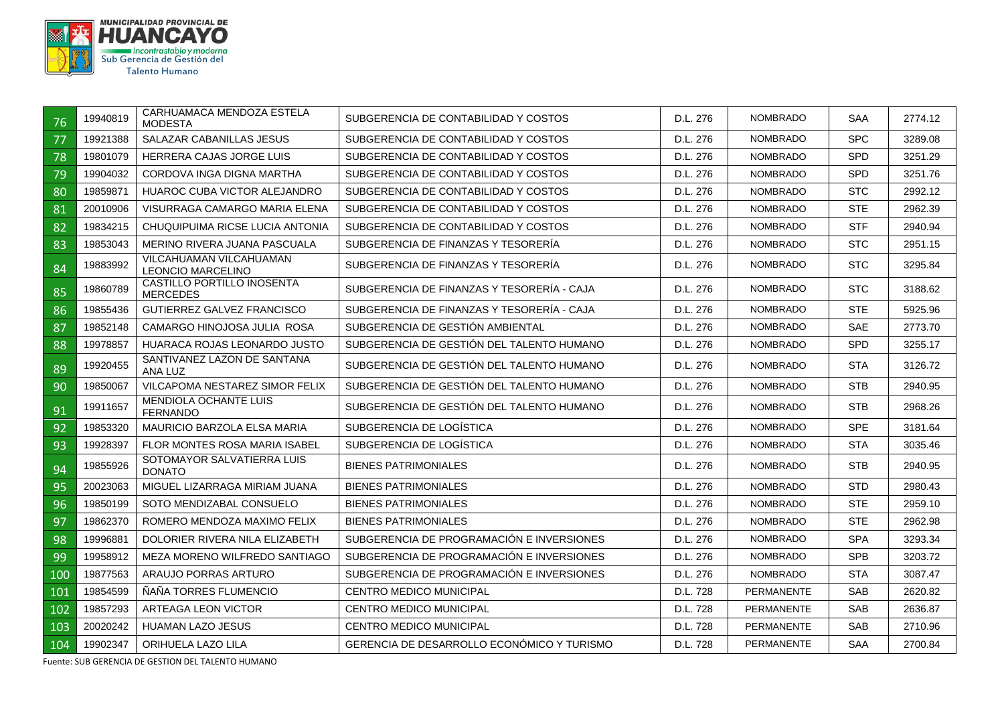

| 76  | 19940819 | CARHUAMACA MENDOZA ESTELA<br><b>MODESTA</b>         | SUBGERENCIA DE CONTABILIDAD Y COSTOS       | D.L. 276 | <b>NOMBRADO</b>   | <b>SAA</b> | 2774.12 |
|-----|----------|-----------------------------------------------------|--------------------------------------------|----------|-------------------|------------|---------|
| 77  | 19921388 | SALAZAR CABANILLAS JESUS                            | SUBGERENCIA DE CONTABILIDAD Y COSTOS       | D.L. 276 | <b>NOMBRADO</b>   | <b>SPC</b> | 3289.08 |
| 78  | 19801079 | HERRERA CAJAS JORGE LUIS                            | SUBGERENCIA DE CONTABILIDAD Y COSTOS       | D.L. 276 | <b>NOMBRADO</b>   | <b>SPD</b> | 3251.29 |
| 79  | 19904032 | CORDOVA INGA DIGNA MARTHA                           | SUBGERENCIA DE CONTABILIDAD Y COSTOS       | D.L. 276 | <b>NOMBRADO</b>   | <b>SPD</b> | 3251.76 |
| 80  | 19859871 | <b>HUAROC CUBA VICTOR ALEJANDRO</b>                 | SUBGERENCIA DE CONTABILIDAD Y COSTOS       | D.L. 276 | <b>NOMBRADO</b>   | <b>STC</b> | 2992.12 |
| 81  | 20010906 | VISURRAGA CAMARGO MARIA ELENA                       | SUBGERENCIA DE CONTABILIDAD Y COSTOS       | D.L. 276 | <b>NOMBRADO</b>   | <b>STE</b> | 2962.39 |
| 82  | 19834215 | CHUQUIPUIMA RICSE LUCIA ANTONIA                     | SUBGERENCIA DE CONTABILIDAD Y COSTOS       | D.L. 276 | <b>NOMBRADO</b>   | <b>STF</b> | 2940.94 |
| 83  | 19853043 | MERINO RIVERA JUANA PASCUALA                        | SUBGERENCIA DE FINANZAS Y TESORERÍA        | D.L. 276 | <b>NOMBRADO</b>   | <b>STC</b> | 2951.15 |
| 84  | 19883992 | VILCAHUAMAN VILCAHUAMAN<br><b>LEONCIO MARCELINO</b> | SUBGERENCIA DE FINANZAS Y TESORERÍA        | D.L. 276 | <b>NOMBRADO</b>   | <b>STC</b> | 3295.84 |
| 85  | 19860789 | CASTILLO PORTILLO INOSENTA<br><b>MERCEDES</b>       | SUBGERENCIA DE FINANZAS Y TESORERIA - CAJA | D.L. 276 | <b>NOMBRADO</b>   | <b>STC</b> | 3188.62 |
| 86  | 19855436 | <b>GUTIERREZ GALVEZ FRANCISCO</b>                   | SUBGERENCIA DE FINANZAS Y TESORERÍA - CAJA | D.L. 276 | <b>NOMBRADO</b>   | <b>STE</b> | 5925.96 |
| 87  | 19852148 | CAMARGO HINOJOSA JULIA ROSA                         | SUBGERENCIA DE GESTIÓN AMBIENTAL           | D.L. 276 | <b>NOMBRADO</b>   | <b>SAE</b> | 2773.70 |
| 88  | 19978857 | HUARACA ROJAS LEONARDO JUSTO                        | SUBGERENCIA DE GESTIÓN DEL TALENTO HUMANO  | D.L. 276 | <b>NOMBRADO</b>   | <b>SPD</b> | 3255.17 |
| 89  | 19920455 | SANTIVANEZ LAZON DE SANTANA<br>ANA LUZ              | SUBGERENCIA DE GESTIÓN DEL TALENTO HUMANO  | D.L. 276 | <b>NOMBRADO</b>   | <b>STA</b> | 3126.72 |
| 90  | 19850067 | VILCAPOMA NESTAREZ SIMOR FELIX                      | SUBGERENCIA DE GESTIÓN DEL TALENTO HUMANO  | D.L. 276 | <b>NOMBRADO</b>   | <b>STB</b> | 2940.95 |
| 91  | 19911657 | <b>MENDIOLA OCHANTE LUIS</b><br><b>FERNANDO</b>     | SUBGERENCIA DE GESTION DEL TALENTO HUMANO  | D.L. 276 | <b>NOMBRADO</b>   | <b>STB</b> | 2968.26 |
| 92  | 19853320 | MAURICIO BARZOLA ELSA MARIA                         | SUBGERENCIA DE LOGÍSTICA                   | D.L. 276 | <b>NOMBRADO</b>   | <b>SPE</b> | 3181.64 |
| 93  | 19928397 | <b>FLOR MONTES ROSA MARIA ISABEL</b>                | SUBGERENCIA DE LOGISTICA                   | D.L. 276 | <b>NOMBRADO</b>   | <b>STA</b> | 3035.46 |
| 94  | 19855926 | SOTOMAYOR SALVATIERRA LUIS<br><b>DONATO</b>         | <b>BIENES PATRIMONIALES</b>                | D.L. 276 | <b>NOMBRADO</b>   | <b>STB</b> | 2940.95 |
| 95  | 20023063 | MIGUEL LIZARRAGA MIRIAM JUANA                       | <b>BIENES PATRIMONIALES</b>                | D.L. 276 | <b>NOMBRADO</b>   | <b>STD</b> | 2980.43 |
| 96  | 19850199 | SOTO MENDIZABAL CONSUELO                            | <b>BIENES PATRIMONIALES</b>                | D.L. 276 | <b>NOMBRADO</b>   | <b>STE</b> | 2959.10 |
| 97  | 19862370 | ROMERO MENDOZA MAXIMO FELIX                         | <b>BIENES PATRIMONIALES</b>                | D.L. 276 | <b>NOMBRADO</b>   | <b>STE</b> | 2962.98 |
| 98  | 19996881 | DOLORIER RIVERA NILA ELIZABETH                      | SUBGERENCIA DE PROGRAMACIÓN E INVERSIONES  | D.L. 276 | <b>NOMBRADO</b>   | <b>SPA</b> | 3293.34 |
| 99  | 19958912 | MEZA MORENO WILFREDO SANTIAGO                       | SUBGERENCIA DE PROGRAMACIÓN E INVERSIONES  | D.L. 276 | <b>NOMBRADO</b>   | <b>SPB</b> | 3203.72 |
| 100 | 19877563 | ARAUJO PORRAS ARTURO                                | SUBGERENCIA DE PROGRAMACIÓN E INVERSIONES  | D.L. 276 | <b>NOMBRADO</b>   | <b>STA</b> | 3087.47 |
| 101 | 19854599 | ÑAÑA TORRES FLUMENCIO                               | <b>CENTRO MEDICO MUNICIPAL</b>             | D.L. 728 | <b>PERMANENTE</b> | <b>SAB</b> | 2620.82 |
| 102 | 19857293 | ARTEAGA LEON VICTOR                                 | <b>CENTRO MEDICO MUNICIPAL</b>             | D.L. 728 | <b>PERMANENTE</b> | <b>SAB</b> | 2636.87 |
| 103 | 20020242 | <b>HUAMAN LAZO JESUS</b>                            | <b>CENTRO MEDICO MUNICIPAL</b>             | D.L. 728 | <b>PERMANENTE</b> | SAB        | 2710.96 |
| 104 | 19902347 | ORIHUELA LAZO LILA                                  | GERENCIA DE DESARROLLO ECONÓMICO Y TURISMO | D.L. 728 | PERMANENTE        | <b>SAA</b> | 2700.84 |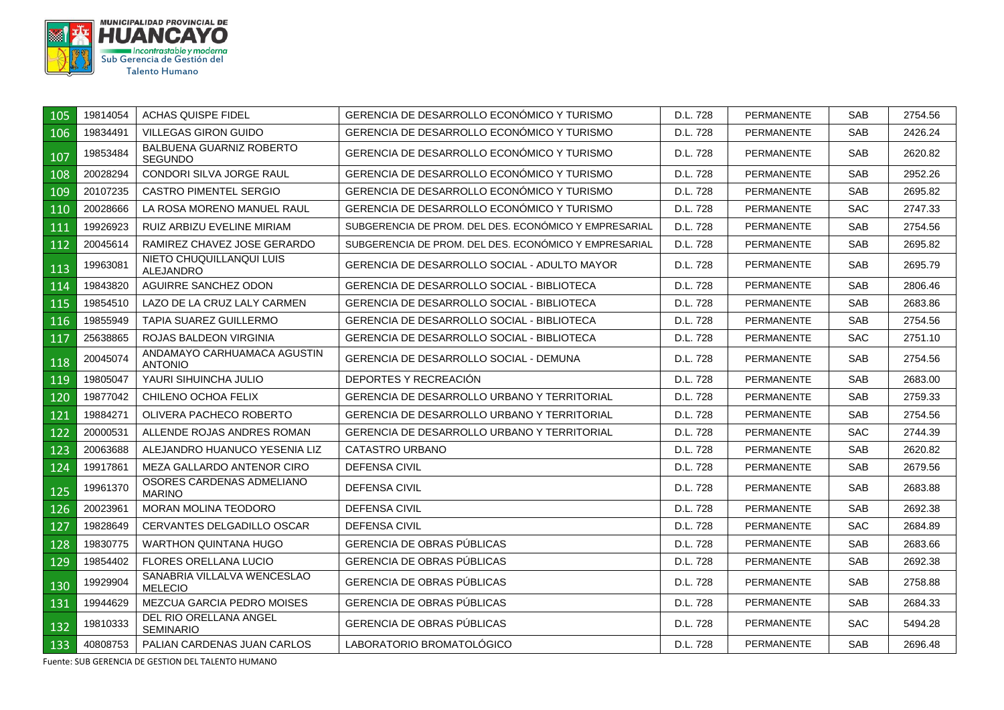

| 105 | 19814054 | ACHAS QUISPE FIDEL                            | GERENCIA DE DESARROLLO ECONÓMICO Y TURISMO            | D.L. 728 | <b>PERMANENTE</b> | SAB.       | 2754.56 |
|-----|----------|-----------------------------------------------|-------------------------------------------------------|----------|-------------------|------------|---------|
| 106 | 19834491 | <b>VILLEGAS GIRON GUIDO</b>                   | GERENCIA DE DESARROLLO ECONOMICO Y TURISMO            | D.L. 728 | <b>PERMANENTE</b> | <b>SAB</b> | 2426.24 |
| 107 | 19853484 | BALBUENA GUARNIZ ROBERTO<br>SEGUNDO           | GERENCIA DE DESARROLLO ECONÓMICO Y TURISMO            | D.L. 728 | <b>PERMANENTE</b> | SAB.       | 2620.82 |
| 108 | 20028294 | CONDORI SILVA JORGE RAUL                      | GERENCIA DE DESARROLLO ECONÓMICO Y TURISMO            | D.L. 728 | <b>PERMANENTE</b> | <b>SAB</b> | 2952.26 |
| 109 | 20107235 | CASTRO PIMENTEL SERGIO                        | GERENCIA DE DESARROLLO ECONÓMICO Y TURISMO            | D.L. 728 | <b>PERMANENTE</b> | SAB.       | 2695.82 |
| 110 | 20028666 | LA ROSA MORENO MANUEL RAUL                    | GERENCIA DE DESARROLLO ECONÓMICO Y TURISMO            | D.L. 728 | <b>PERMANENTE</b> | <b>SAC</b> | 2747.33 |
| 111 | 19926923 | RUIZ ARBIZU EVELINE MIRIAM                    | SUBGERENCIA DE PROM. DEL DES. ECONÓMICO Y EMPRESARIAL | D.L. 728 | <b>PERMANENTE</b> | <b>SAB</b> | 2754.56 |
| 112 | 20045614 | RAMIREZ CHAVEZ JOSE GERARDO                   | SUBGERENCIA DE PROM. DEL DES. ECONÓMICO Y EMPRESARIAL | D.L. 728 | <b>PERMANENTE</b> | <b>SAB</b> | 2695.82 |
| 113 | 19963081 | NIETO CHUQUILLANQUI LUIS<br>ALEJANDRO         | GERENCIA DE DESARROLLO SOCIAL - ADULTO MAYOR          | D.L. 728 | PERMANENTE        | SAB.       | 2695.79 |
| 114 | 19843820 | AGUIRRE SANCHEZ ODON                          | GERENCIA DE DESARROLLO SOCIAL - BIBLIOTECA            | D.L. 728 | <b>PERMANENTE</b> | <b>SAB</b> | 2806.46 |
| 115 | 19854510 | LAZO DE LA CRUZ LALY CARMEN                   | <b>GERENCIA DE DESARROLLO SOCIAL - BIBLIOTECA</b>     | D.L. 728 | <b>PERMANENTE</b> | <b>SAB</b> | 2683.86 |
| 116 | 19855949 | <b>TAPIA SUAREZ GUILLERMO</b>                 | <b>GERENCIA DE DESARROLLO SOCIAL - BIBLIOTECA</b>     | D.L. 728 | <b>PERMANENTE</b> | <b>SAB</b> | 2754.56 |
| 117 | 25638865 | ROJAS BALDEON VIRGINIA                        | <b>GERENCIA DE DESARROLLO SOCIAL - BIBLIOTECA</b>     | D.L. 728 | <b>PERMANENTE</b> | <b>SAC</b> | 2751.10 |
| 118 | 20045074 | ANDAMAYO CARHUAMACA AGUSTIN<br><b>ANTONIO</b> | GERENCIA DE DESARROLLO SOCIAL - DEMUNA                | D.L. 728 | <b>PERMANENTE</b> | <b>SAB</b> | 2754.56 |
| 119 | 19805047 | YAURI SIHUINCHA JULIO                         | DEPORTES Y RECREACIÓN                                 | D.L. 728 | <b>PERMANENTE</b> | <b>SAB</b> | 2683.00 |
| 120 | 19877042 | CHILENO OCHOA FELIX                           | GERENCIA DE DESARROLLO URBANO Y TERRITORIAL           | D.L. 728 | <b>PERMANENTE</b> | SAB.       | 2759.33 |
| 121 | 19884271 | OLIVERA PACHECO ROBERTO                       | <b>GERENCIA DE DESARROLLO URBANO Y TERRITORIAL</b>    | D.L. 728 | <b>PERMANENTE</b> | SAB.       | 2754.56 |
| 122 | 20000531 | ALLENDE ROJAS ANDRES ROMAN                    | <b>GERENCIA DE DESARROLLO URBANO Y TERRITORIAL</b>    | D.L. 728 | <b>PERMANENTE</b> | <b>SAC</b> | 2744.39 |
| 123 | 20063688 | ALEJANDRO HUANUCO YESENIA LIZ                 | CATASTRO URBANO                                       | D.L. 728 | <b>PERMANENTE</b> | <b>SAB</b> | 2620.82 |
| 124 | 19917861 | MEZA GALLARDO ANTENOR CIRO                    | <b>DEFENSA CIVIL</b>                                  | D.L. 728 | <b>PERMANENTE</b> | <b>SAB</b> | 2679.56 |
| 125 | 19961370 | OSORES CARDENAS ADMELIANO<br><b>MARINO</b>    | DEFENSA CIVIL                                         | D.L. 728 | <b>PERMANENTE</b> | SAB.       | 2683.88 |
| 126 | 20023961 | <b>MORAN MOLINA TEODORO</b>                   | <b>DEFENSA CIVIL</b>                                  | D.L. 728 | <b>PERMANENTE</b> | <b>SAB</b> | 2692.38 |
| 127 | 19828649 | CERVANTES DELGADILLO OSCAR                    | DEFENSA CIVIL                                         | D.L. 728 | <b>PERMANENTE</b> | <b>SAC</b> | 2684.89 |
| 128 | 19830775 | WARTHON QUINTANA HUGO                         | GERENCIA DE OBRAS PUBLICAS                            | D.L. 728 | <b>PERMANENTE</b> | SAB.       | 2683.66 |
| 129 | 19854402 | FLORES ORELLANA LUCIO                         | <b>GERENCIA DE OBRAS PÚBLICAS</b>                     | D.L. 728 | <b>PERMANENTE</b> | SAB.       | 2692.38 |
| 130 | 19929904 | SANABRIA VILLALVA WENCESLAO<br><b>MELECIO</b> | GERENCIA DE OBRAS PUBLICAS                            | D.L. 728 | <b>PERMANENTE</b> | SAB.       | 2758.88 |
| 131 | 19944629 | MEZCUA GARCIA PEDRO MOISES                    | <b>GERENCIA DE OBRAS PUBLICAS</b>                     | D.L. 728 | <b>PERMANENTE</b> | SAB        | 2684.33 |
| 132 | 19810333 | DEL RIO ORELLANA ANGEL<br><b>SEMINARIO</b>    | GERENCIA DE OBRAS PÚBLICAS                            | D.L. 728 | <b>PERMANENTE</b> | <b>SAC</b> | 5494.28 |
| 133 | 40808753 | PALIAN CARDENAS JUAN CARLOS                   | LABORATORIO BROMATOLOGICO                             | D.L. 728 | <b>PERMANENTE</b> | SAB.       | 2696.48 |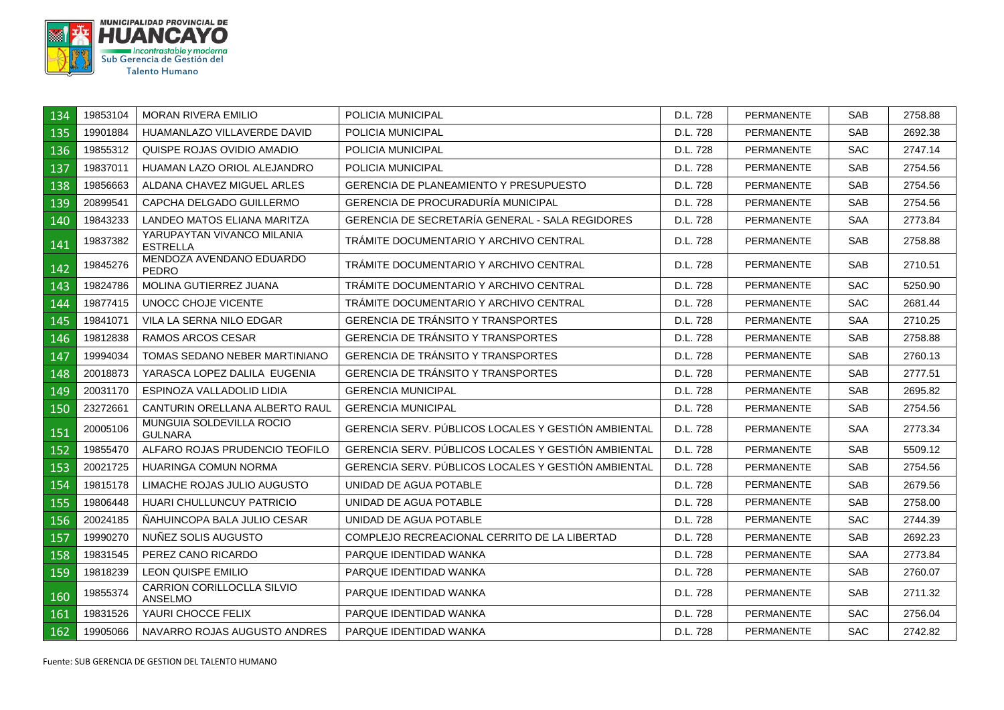

| 134 | 19853104 | <b>MORAN RIVERA EMILIO</b>                          | POLICIA MUNICIPAL                                   | D.L. 728 | <b>PERMANENTE</b> | <b>SAB</b> | 2758.88 |
|-----|----------|-----------------------------------------------------|-----------------------------------------------------|----------|-------------------|------------|---------|
| 135 | 19901884 | HUAMANLAZO VILLAVERDE DAVID                         | <b>POLICIA MUNICIPAL</b>                            | D.L. 728 | <b>PERMANENTE</b> | <b>SAB</b> | 2692.38 |
| 136 | 19855312 | QUISPE ROJAS OVIDIO AMADIO                          | <b>POLICIA MUNICIPAL</b>                            | D.L. 728 | <b>PERMANENTE</b> | <b>SAC</b> | 2747.14 |
| 137 | 19837011 | HUAMAN LAZO ORIOL ALEJANDRO                         | <b>POLICIA MUNICIPAL</b>                            | D.L. 728 | PERMANENTE        | <b>SAB</b> | 2754.56 |
| 138 | 19856663 | ALDANA CHAVEZ MIGUEL ARLES                          | <b>GERENCIA DE PLANEAMIENTO Y PRESUPUESTO</b>       | D.L. 728 | <b>PERMANENTE</b> | <b>SAB</b> | 2754.56 |
| 139 | 20899541 | CAPCHA DELGADO GUILLERMO                            | <b>GERENCIA DE PROCURADURÍA MUNICIPAL</b>           | D.L. 728 | <b>PERMANENTE</b> | SAB        | 2754.56 |
| 140 | 19843233 | LANDEO MATOS ELIANA MARITZA                         | GERENCIA DE SECRETARÍA GENERAL - SALA REGIDORES     | D.L. 728 | <b>PERMANENTE</b> | <b>SAA</b> | 2773.84 |
| 141 | 19837382 | YARUPAYTAN VIVANCO MILANIA<br><b>ESTRELLA</b>       | TRAMITE DOCUMENTARIO Y ARCHIVO CENTRAL              | D.L. 728 | <b>PERMANENTE</b> | SAB        | 2758.88 |
| 142 | 19845276 | MENDOZA AVENDANO EDUARDO<br><b>PEDRO</b>            | TRAMITE DOCUMENTARIO Y ARCHIVO CENTRAL              | D.L. 728 | <b>PERMANENTE</b> | <b>SAB</b> | 2710.51 |
| 143 | 19824786 | MOLINA GUTIERREZ JUANA                              | TRÁMITE DOCUMENTARIO Y ARCHIVO CENTRAL              | D.L. 728 | <b>PERMANENTE</b> | <b>SAC</b> | 5250.90 |
| 144 | 19877415 | UNOCC CHOJE VICENTE                                 | TRÁMITE DOCUMENTARIO Y ARCHIVO CENTRAL              | D.L. 728 | PERMANENTE        | <b>SAC</b> | 2681.44 |
| 145 | 19841071 | VILA LA SERNA NILO EDGAR                            | GERENCIA DE TRÁNSITO Y TRANSPORTES                  | D.L. 728 | <b>PERMANENTE</b> | <b>SAA</b> | 2710.25 |
| 146 | 19812838 | RAMOS ARCOS CESAR                                   | <b>GERENCIA DE TRÁNSITO Y TRANSPORTES</b>           | D.L. 728 | <b>PERMANENTE</b> | <b>SAB</b> | 2758.88 |
| 147 | 19994034 | TOMAS SEDANO NEBER MARTINIANO                       | GERENCIA DE TRÁNSITO Y TRANSPORTES                  | D.L. 728 | <b>PERMANENTE</b> | <b>SAB</b> | 2760.13 |
| 148 | 20018873 | YARASCA LOPEZ DALILA EUGENIA                        | <b>GERENCIA DE TRÁNSITO Y TRANSPORTES</b>           | D.L. 728 | <b>PERMANENTE</b> | <b>SAB</b> | 2777.51 |
| 149 | 20031170 | ESPINOZA VALLADOLID LIDIA                           | <b>GERENCIA MUNICIPAL</b>                           | D.L. 728 | <b>PERMANENTE</b> | <b>SAB</b> | 2695.82 |
| 150 | 23272661 | CANTURIN ORELLANA ALBERTO RAUL                      | <b>GERENCIA MUNICIPAL</b>                           | D.L. 728 | <b>PERMANENTE</b> | <b>SAB</b> | 2754.56 |
| 151 | 20005106 | MUNGUIA SOLDEVILLA ROCIO<br><b>GULNARA</b>          | GERENCIA SERV. PÚBLICOS LOCALES Y GESTIÓN AMBIENTAL | D.L. 728 | <b>PERMANENTE</b> | <b>SAA</b> | 2773.34 |
| 152 | 19855470 | ALFARO ROJAS PRUDENCIO TEOFILO                      | GERENCIA SERV. PÚBLICOS LOCALES Y GESTIÓN AMBIENTAL | D.L. 728 | <b>PERMANENTE</b> | <b>SAB</b> | 5509.12 |
| 153 | 20021725 | HUARINGA COMUN NORMA                                | GERENCIA SERV. PÚBLICOS LOCALES Y GESTIÓN AMBIENTAL | D.L. 728 | <b>PERMANENTE</b> | <b>SAB</b> | 2754.56 |
| 154 | 19815178 | LIMACHE ROJAS JULIO AUGUSTO                         | UNIDAD DE AGUA POTABLE                              | D.L. 728 | <b>PERMANENTE</b> | <b>SAB</b> | 2679.56 |
| 155 | 19806448 | <b>HUARI CHULLUNCUY PATRICIO</b>                    | UNIDAD DE AGUA POTABLE                              | D.L. 728 | <b>PERMANENTE</b> | <b>SAB</b> | 2758.00 |
| 156 | 20024185 | ÑAHUINCOPA BALA JULIO CESAR                         | UNIDAD DE AGUA POTABLE                              | D.L. 728 | <b>PERMANENTE</b> | <b>SAC</b> | 2744.39 |
| 157 | 19990270 | NUÑEZ SOLIS AUGUSTO                                 | COMPLEJO RECREACIONAL CERRITO DE LA LIBERTAD        | D.L. 728 | <b>PERMANENTE</b> | <b>SAB</b> | 2692.23 |
| 158 | 19831545 | PEREZ CANO RICARDO                                  | PARQUE IDENTIDAD WANKA                              | D.L. 728 | <b>PERMANENTE</b> | <b>SAA</b> | 2773.84 |
| 159 | 19818239 | <b>LEON QUISPE EMILIO</b>                           | PARQUE IDENTIDAD WANKA                              | D.L. 728 | <b>PERMANENTE</b> | <b>SAB</b> | 2760.07 |
| 160 | 19855374 | <b>CARRION CORILLOCLLA SILVIO</b><br><b>ANSELMO</b> | PARQUE IDENTIDAD WANKA                              | D.L. 728 | <b>PERMANENTE</b> | <b>SAB</b> | 2711.32 |
| 161 | 19831526 | YAURI CHOCCE FELIX                                  | PARQUE IDENTIDAD WANKA                              | D.L. 728 | <b>PERMANENTE</b> | <b>SAC</b> | 2756.04 |
| 162 | 19905066 | NAVARRO ROJAS AUGUSTO ANDRES                        | PARQUE IDENTIDAD WANKA                              | D.L. 728 | <b>PERMANENTE</b> | <b>SAC</b> | 2742.82 |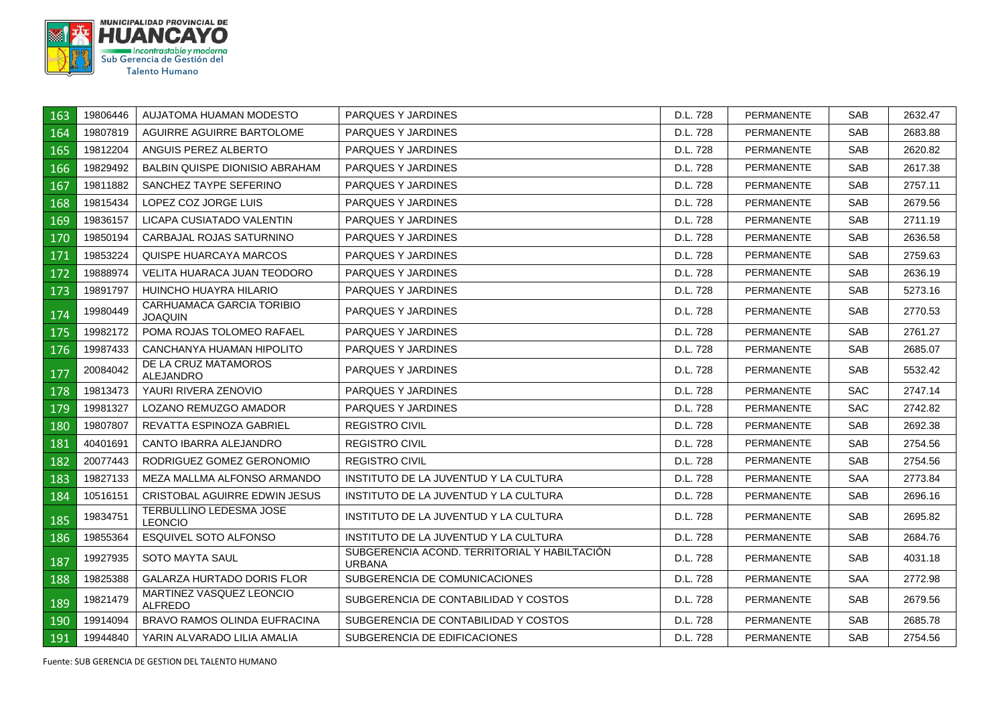

| 163 | 19806446 | AUJATOMA HUAMAN MODESTO                     | PARQUES Y JARDINES                                            | D.L. 728 | <b>PERMANENTE</b> | SAB.       | 2632.47 |
|-----|----------|---------------------------------------------|---------------------------------------------------------------|----------|-------------------|------------|---------|
| 164 | 19807819 | AGUIRRE AGUIRRE BARTOLOME                   | PARQUES Y JARDINES                                            | D.L. 728 | <b>PERMANENTE</b> | SAB        | 2683.88 |
| 165 | 19812204 | ANGUIS PEREZ ALBERTO                        | PARQUES Y JARDINES                                            | D.L. 728 | <b>PERMANENTE</b> | <b>SAB</b> | 2620.82 |
| 166 | 19829492 | <b>BALBIN QUISPE DIONISIO ABRAHAM</b>       | PARQUES Y JARDINES                                            | D.L. 728 | <b>PERMANENTE</b> | <b>SAB</b> | 2617.38 |
| 167 | 19811882 | SANCHEZ TAYPE SEFERINO                      | PARQUES Y JARDINES                                            | D.L. 728 | <b>PERMANENTE</b> | SAB.       | 2757.11 |
| 168 | 19815434 | LOPEZ COZ JORGE LUIS                        | PARQUES Y JARDINES                                            | D.L. 728 | <b>PERMANENTE</b> | SAB.       | 2679.56 |
| 169 | 19836157 | LICAPA CUSIATADO VALENTIN                   | PARQUES Y JARDINES                                            | D.L. 728 | <b>PERMANENTE</b> | <b>SAB</b> | 2711.19 |
| 170 | 19850194 | CARBAJAL ROJAS SATURNINO                    | PARQUES Y JARDINES                                            | D.L. 728 | <b>PERMANENTE</b> | <b>SAB</b> | 2636.58 |
| 171 | 19853224 | QUISPE HUARCAYA MARCOS                      | PARQUES Y JARDINES                                            | D.L. 728 | <b>PERMANENTE</b> | SAB        | 2759.63 |
| 172 | 19888974 | VELITA HUARACA JUAN TEODORO                 | PARQUES Y JARDINES                                            | D.L. 728 | <b>PERMANENTE</b> | <b>SAB</b> | 2636.19 |
| 173 | 19891797 | HUINCHO HUAYRA HILARIO                      | PARQUES Y JARDINES                                            | D.L. 728 | <b>PERMANENTE</b> | SAB        | 5273.16 |
| 174 | 19980449 | CARHUAMACA GARCIA TORIBIO<br><b>JOAQUIN</b> | PARQUES Y JARDINES                                            | D.L. 728 | <b>PERMANENTE</b> | <b>SAB</b> | 2770.53 |
| 175 | 19982172 | POMA ROJAS TOLOMEO RAFAEL                   | PARQUES Y JARDINES                                            | D.L. 728 | <b>PERMANENTE</b> | <b>SAB</b> | 2761.27 |
| 176 | 19987433 | CANCHANYA HUAMAN HIPOLITO                   | PARQUES Y JARDINES                                            | D.L. 728 | <b>PERMANENTE</b> | SAB.       | 2685.07 |
| 177 | 20084042 | DE LA CRUZ MATAMOROS<br>ALEJANDRO           | PARQUES Y JARDINES                                            | D.L. 728 | <b>PERMANENTE</b> | SAB.       | 5532.42 |
| 178 | 19813473 | YAURI RIVERA ZENOVIO                        | PARQUES Y JARDINES                                            | D.L. 728 | <b>PERMANENTE</b> | <b>SAC</b> | 2747.14 |
| 179 | 19981327 | LOZANO REMUZGO AMADOR                       | PARQUES Y JARDINES                                            | D.L. 728 | <b>PERMANENTE</b> | <b>SAC</b> | 2742.82 |
| 180 | 19807807 | REVATTA ESPINOZA GABRIEL                    | <b>REGISTRO CIVIL</b>                                         | D.L. 728 | <b>PERMANENTE</b> | SAB        | 2692.38 |
| 181 | 40401691 | CANTO IBARRA ALEJANDRO                      | <b>REGISTRO CIVIL</b>                                         | D.L. 728 | <b>PERMANENTE</b> | SAB.       | 2754.56 |
| 182 | 20077443 | RODRIGUEZ GOMEZ GERONOMIO                   | <b>REGISTRO CIVIL</b>                                         | D.L. 728 | <b>PERMANENTE</b> | <b>SAB</b> | 2754.56 |
| 183 | 19827133 | MEZA MALLMA ALFONSO ARMANDO                 | INSTITUTO DE LA JUVENTUD Y LA CULTURA                         | D.L. 728 | <b>PERMANENTE</b> | SAA        | 2773.84 |
| 184 | 10516151 | CRISTOBAL AGUIRRE EDWIN JESUS               | INSTITUTO DE LA JUVENTUD Y LA CULTURA                         | D.L. 728 | <b>PERMANENTE</b> | SAB        | 2696.16 |
| 185 | 19834751 | TERBULLINO LEDESMA JOSE<br><b>LEONCIO</b>   | INSTITUTO DE LA JUVENTUD Y LA CULTURA                         | D.L. 728 | <b>PERMANENTE</b> | SAB.       | 2695.82 |
| 186 | 19855364 | ESQUIVEL SOTO ALFONSO                       | INSTITUTO DE LA JUVENTUD Y LA CULTURA                         | D.L. 728 | <b>PERMANENTE</b> | SAB        | 2684.76 |
| 187 | 19927935 | SOTO MAYTA SAUL                             | SUBGERENCIA ACOND. TERRITORIAL Y HABILTACIÓN<br><b>URBANA</b> | D.L. 728 | PERMANENTE        | SAB.       | 4031.18 |
| 188 | 19825388 | GALARZA HURTADO DORIS FLOR                  | SUBGERENCIA DE COMUNICACIONES                                 | D.L. 728 | <b>PERMANENTE</b> | <b>SAA</b> | 2772.98 |
| 189 | 19821479 | MARTINEZ VASQUEZ LEONCIO<br><b>ALFREDO</b>  | SUBGERENCIA DE CONTABILIDAD Y COSTOS                          | D.L. 728 | <b>PERMANENTE</b> | SAB        | 2679.56 |
| 190 | 19914094 | <b>BRAVO RAMOS OLINDA EUFRACINA</b>         | SUBGERENCIA DE CONTABILIDAD Y COSTOS                          | D.L. 728 | <b>PERMANENTE</b> | <b>SAB</b> | 2685.78 |
| 191 | 19944840 | YARIN ALVARADO LILIA AMALIA                 | SUBGERENCIA DE EDIFICACIONES                                  | D.L. 728 | PERMANENTE        | SAB        | 2754.56 |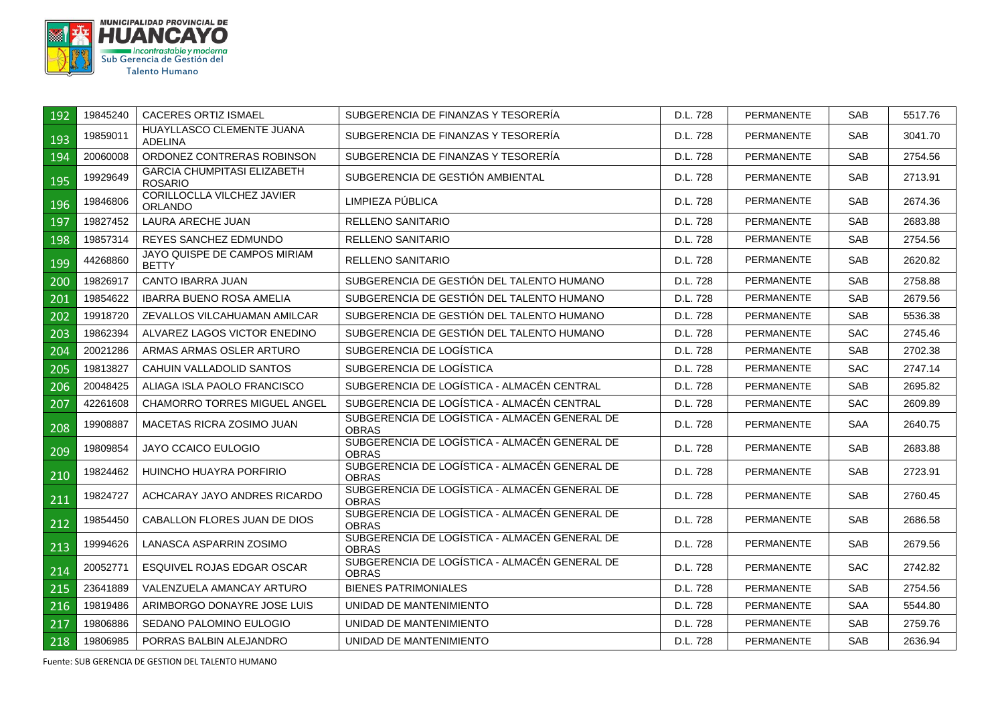

| 192 | 19845240 | <b>CACERES ORTIZ ISMAEL</b>                          | SUBGERENCIA DE FINANZAS Y TESORERIA                           | D.L. 728 | <b>PERMANENTE</b> | <b>SAB</b> | 5517.76 |
|-----|----------|------------------------------------------------------|---------------------------------------------------------------|----------|-------------------|------------|---------|
| 193 | 19859011 | HUAYLLASCO CLEMENTE JUANA<br><b>ADELINA</b>          | SUBGERENCIA DE FINANZAS Y TESORERÍA                           | D.L. 728 | <b>PERMANENTE</b> | <b>SAB</b> | 3041.70 |
| 194 | 20060008 | ORDONEZ CONTRERAS ROBINSON                           | SUBGERENCIA DE FINANZAS Y TESORERÍA                           | D.L. 728 | <b>PERMANENTE</b> | <b>SAB</b> | 2754.56 |
| 195 | 19929649 | <b>GARCIA CHUMPITASI ELIZABETH</b><br><b>ROSARIO</b> | SUBGERENCIA DE GESTIÓN AMBIENTAL                              | D.L. 728 | <b>PERMANENTE</b> | <b>SAB</b> | 2713.91 |
| 196 | 19846806 | <b>CORILLOCLLA VILCHEZ JAVIER</b><br>ORLANDO         | LIMPIEZA PÚBLICA                                              | D.L. 728 | <b>PERMANENTE</b> | <b>SAB</b> | 2674.36 |
| 197 | 19827452 | LAURA ARECHE JUAN                                    | RELLENO SANITARIO                                             | D.L. 728 | <b>PERMANENTE</b> | <b>SAB</b> | 2683.88 |
| 198 | 19857314 | REYES SANCHEZ EDMUNDO                                | RELLENO SANITARIO                                             | D.L. 728 | <b>PERMANENTE</b> | <b>SAB</b> | 2754.56 |
| 199 | 44268860 | JAYO QUISPE DE CAMPOS MIRIAM<br><b>BETTY</b>         | <b>RELLENO SANITARIO</b>                                      | D.L. 728 | <b>PERMANENTE</b> | <b>SAB</b> | 2620.82 |
| 200 | 19826917 | CANTO IBARRA JUAN                                    | SUBGERENCIA DE GESTIÓN DEL TALENTO HUMANO                     | D.L. 728 | <b>PERMANENTE</b> | SAB        | 2758.88 |
| 201 | 19854622 | <b>IBARRA BUENO ROSA AMELIA</b>                      | SUBGERENCIA DE GESTIÓN DEL TALENTO HUMANO                     | D.L. 728 | <b>PERMANENTE</b> | <b>SAB</b> | 2679.56 |
| 202 | 19918720 | ZEVALLOS VILCAHUAMAN AMILCAR                         | SUBGERENCIA DE GESTIÓN DEL TALENTO HUMANO                     | D.L. 728 | <b>PERMANENTE</b> | <b>SAB</b> | 5536.38 |
| 203 | 19862394 | ALVAREZ LAGOS VICTOR ENEDINO                         | SUBGERENCIA DE GESTIÓN DEL TALENTO HUMANO                     | D.L. 728 | <b>PERMANENTE</b> | <b>SAC</b> | 2745.46 |
| 204 | 20021286 | ARMAS ARMAS OSLER ARTURO                             | SUBGERENCIA DE LOGÍSTICA                                      | D.L. 728 | <b>PERMANENTE</b> | <b>SAB</b> | 2702.38 |
| 205 | 19813827 | CAHUIN VALLADOLID SANTOS                             | SUBGERENCIA DE LOGÍSTICA                                      | D.L. 728 | <b>PERMANENTE</b> | <b>SAC</b> | 2747.14 |
| 206 | 20048425 | ALIAGA ISLA PAOLO FRANCISCO                          | SUBGERENCIA DE LOGÍSTICA - ALMACÉN CENTRAL                    | D.L. 728 | <b>PERMANENTE</b> | <b>SAB</b> | 2695.82 |
| 207 | 42261608 | <b>CHAMORRO TORRES MIGUEL ANGEL</b>                  | SUBGERENCIA DE LOGÍSTICA - ALMACÉN CENTRAL                    | D.L. 728 | <b>PERMANENTE</b> | <b>SAC</b> | 2609.89 |
| 208 | 19908887 | MACETAS RICRA ZOSIMO JUAN                            | SUBGERENCIA DE LOGÍSTICA - ALMACÉN GENERAL DE<br><b>OBRAS</b> | D.L. 728 | <b>PERMANENTE</b> | <b>SAA</b> | 2640.75 |
| 209 | 19809854 | JAYO CCAICO EULOGIO                                  | SUBGERENCIA DE LOGÍSTICA - ALMACÉN GENERAL DE<br><b>OBRAS</b> | D.L. 728 | <b>PERMANENTE</b> | <b>SAB</b> | 2683.88 |
| 210 | 19824462 | HUINCHO HUAYRA PORFIRIO                              | SUBGERENCIA DE LOGÍSTICA - ALMACÉN GENERAL DE<br><b>OBRAS</b> | D.L. 728 | <b>PERMANENTE</b> | <b>SAB</b> | 2723.91 |
| 211 | 19824727 | ACHCARAY JAYO ANDRES RICARDO                         | SUBGERENCIA DE LOGÍSTICA - ALMACÉN GENERAL DE<br><b>OBRAS</b> | D.L. 728 | <b>PERMANENTE</b> | <b>SAB</b> | 2760.45 |
| 212 | 19854450 | CABALLON FLORES JUAN DE DIOS                         | SUBGERENCIA DE LOGÍSTICA - ALMACÉN GENERAL DE<br><b>OBRAS</b> | D.L. 728 | <b>PERMANENTE</b> | <b>SAB</b> | 2686.58 |
| 213 | 19994626 | LANASCA ASPARRIN ZOSIMO                              | SUBGERENCIA DE LOGÍSTICA - ALMACÉN GENERAL DE<br><b>OBRAS</b> | D.L. 728 | <b>PERMANENTE</b> | <b>SAB</b> | 2679.56 |
| 214 | 20052771 | ESQUIVEL ROJAS EDGAR OSCAR                           | SUBGERENCIA DE LOGÍSTICA - ALMACÉN GENERAL DE<br><b>OBRAS</b> | D.L. 728 | <b>PERMANENTE</b> | <b>SAC</b> | 2742.82 |
| 215 | 23641889 | VALENZUELA AMANCAY ARTURO                            | <b>BIENES PATRIMONIALES</b>                                   | D.L. 728 | <b>PERMANENTE</b> | <b>SAB</b> | 2754.56 |
| 216 | 19819486 | ARIMBORGO DONAYRE JOSE LUIS                          | UNIDAD DE MANTENIMIENTO                                       | D.L. 728 | <b>PERMANENTE</b> | <b>SAA</b> | 5544.80 |
| 217 | 19806886 | SEDANO PALOMINO EULOGIO                              | UNIDAD DE MANTENIMIENTO                                       | D.L. 728 | <b>PERMANENTE</b> | <b>SAB</b> | 2759.76 |
| 218 | 19806985 | PORRAS BALBIN ALEJANDRO                              | UNIDAD DE MANTENIMIENTO                                       | D.L. 728 | <b>PERMANENTE</b> | <b>SAB</b> | 2636.94 |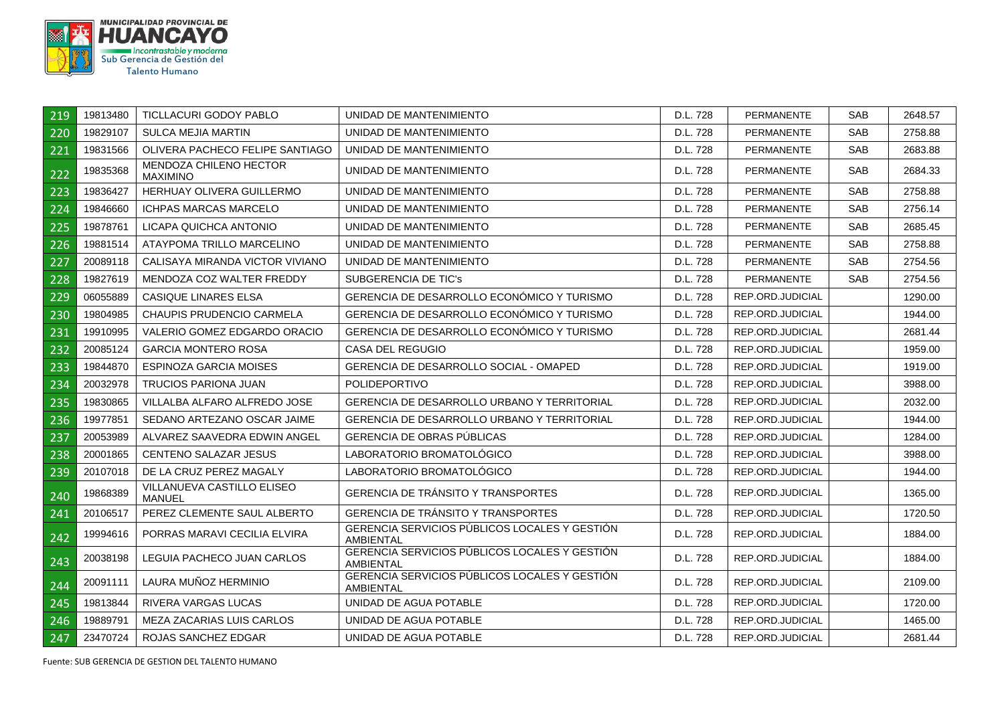

| 219 | 19813480 | TICLLACURI GODOY PABLO                    | UNIDAD DE MANTENIMIENTO                                           | D.L. 728 | <b>PERMANENTE</b> | SAB        | 2648.57 |
|-----|----------|-------------------------------------------|-------------------------------------------------------------------|----------|-------------------|------------|---------|
| 220 | 19829107 | SULCA MEJIA MARTIN                        | UNIDAD DE MANTENIMIENTO                                           | D.L. 728 | <b>PERMANENTE</b> | SAB        | 2758.88 |
| 221 | 19831566 | OLIVERA PACHECO FELIPE SANTIAGO           | UNIDAD DE MANTENIMIENTO                                           | D.L. 728 | <b>PERMANENTE</b> | <b>SAB</b> | 2683.88 |
| 222 | 19835368 | MENDOZA CHILENO HECTOR<br><b>MAXIMINO</b> | UNIDAD DE MANTENIMIENTO                                           | D.L. 728 | <b>PERMANENTE</b> | SAB        | 2684.33 |
| 223 | 19836427 | HERHUAY OLIVERA GUILLERMO                 | UNIDAD DE MANTENIMIENTO                                           | D.L. 728 | <b>PERMANENTE</b> | SAB        | 2758.88 |
| 224 | 19846660 | <b>ICHPAS MARCAS MARCELO</b>              | UNIDAD DE MANTENIMIENTO                                           | D.L. 728 | <b>PERMANENTE</b> | <b>SAB</b> | 2756.14 |
| 225 | 19878761 | LICAPA QUICHCA ANTONIO                    | UNIDAD DE MANTENIMIENTO                                           | D.L. 728 | PERMANENTE        | SAB        | 2685.45 |
| 226 | 19881514 | ATAYPOMA TRILLO MARCELINO                 | UNIDAD DE MANTENIMIENTO                                           | D.L. 728 | <b>PERMANENTE</b> | <b>SAB</b> | 2758.88 |
| 227 | 20089118 | CALISAYA MIRANDA VICTOR VIVIANO           | UNIDAD DE MANTENIMIENTO                                           | D.L. 728 | <b>PERMANENTE</b> | <b>SAB</b> | 2754.56 |
| 228 | 19827619 | MENDOZA COZ WALTER FREDDY                 | SUBGERENCIA DE TIC'S                                              | D.L. 728 | PERMANENTE        | SAB        | 2754.56 |
| 229 | 06055889 | CASIQUE LINARES ELSA                      | GERENCIA DE DESARROLLO ECONÓMICO Y TURISMO                        | D.L. 728 | REP.ORD.JUDICIAL  |            | 1290.00 |
| 230 | 19804985 | <b>CHAUPIS PRUDENCIO CARMELA</b>          | GERENCIA DE DESARROLLO ECONÓMICO Y TURISMO                        | D.L. 728 | REP.ORD.JUDICIAL  |            | 1944.00 |
| 231 | 19910995 | VALERIO GOMEZ EDGARDO ORACIO              | GERENCIA DE DESARROLLO ECONÓMICO Y TURISMO                        | D.L. 728 | REP.ORD.JUDICIAL  |            | 2681.44 |
| 232 | 20085124 | <b>GARCIA MONTERO ROSA</b>                | CASA DEL REGUGIO                                                  | D.L. 728 | REP.ORD.JUDICIAL  |            | 1959.00 |
| 233 | 19844870 | <b>ESPINOZA GARCIA MOISES</b>             | GERENCIA DE DESARROLLO SOCIAL - OMAPED                            | D.L. 728 | REP.ORD.JUDICIAL  |            | 1919.00 |
| 234 | 20032978 | <b>TRUCIOS PARIONA JUAN</b>               | <b>POLIDEPORTIVO</b>                                              | D.L. 728 | REP.ORD.JUDICIAL  |            | 3988.00 |
| 235 | 19830865 | VILLALBA ALFARO ALFREDO JOSE              | GERENCIA DE DESARROLLO URBANO Y TERRITORIAL                       | D.L. 728 | REP.ORD.JUDICIAL  |            | 2032.00 |
| 236 | 19977851 | SEDANO ARTEZANO OSCAR JAIME               | GERENCIA DE DESARROLLO URBANO Y TERRITORIAL                       | D.L. 728 | REP.ORD.JUDICIAL  |            | 1944.00 |
| 237 | 20053989 | ALVAREZ SAAVEDRA EDWIN ANGEL              | <b>GERENCIA DE OBRAS PÚBLICAS</b>                                 | D.L. 728 | REP.ORD.JUDICIAL  |            | 1284.00 |
| 238 | 20001865 | CENTENO SALAZAR JESUS                     | LABORATORIO BROMATOLÓGICO                                         | D.L. 728 | REP.ORD.JUDICIAL  |            | 3988.00 |
| 239 | 20107018 | DE LA CRUZ PEREZ MAGALY                   | LABORATORIO BROMATOLÓGICO                                         | D.L. 728 | REP.ORD.JUDICIAL  |            | 1944.00 |
| 240 | 19868389 | VILLANUEVA CASTILLO ELISEO<br>MANUEL      | GERENCIA DE TRÁNSITO Y TRANSPORTES                                | D.L. 728 | REP.ORD.JUDICIAL  |            | 1365.00 |
| 241 | 20106517 | PEREZ CLEMENTE SAUL ALBERTO               | GERENCIA DE TRÁNSITO Y TRANSPORTES                                | D.L. 728 | REP.ORD.JUDICIAL  |            | 1720.50 |
| 242 | 19994616 | PORRAS MARAVI CECILIA ELVIRA              | GERENCIA SERVICIOS PÚBLICOS LOCALES Y GESTIÓN<br>AMBIENTAL        | D.L. 728 | REP.ORD.JUDICIAL  |            | 1884.00 |
| 243 | 20038198 | LEGUIA PACHECO JUAN CARLOS                | GERENCIA SERVICIOS PÚBLICOS LOCALES Y GESTIÓN<br>AMBIENTAL        | D.L. 728 | REP.ORD.JUDICIAL  |            | 1884.00 |
| 244 | 20091111 | LAURA MUÑOZ HERMINIO                      | GERENCIA SERVICIOS PÚBLICOS LOCALES Y GESTIÓN<br><b>AMBIENTAL</b> | D.L. 728 | REP.ORD.JUDICIAL  |            | 2109.00 |
| 245 | 19813844 | <b>RIVERA VARGAS LUCAS</b>                | UNIDAD DE AGUA POTABLE                                            | D.L. 728 | REP.ORD.JUDICIAL  |            | 1720.00 |
| 246 | 19889791 | MEZA ZACARIAS LUIS CARLOS                 | UNIDAD DE AGUA POTABLE                                            | D.L. 728 | REP.ORD.JUDICIAL  |            | 1465.00 |
| 247 | 23470724 | ROJAS SANCHEZ EDGAR                       | UNIDAD DE AGUA POTABLE                                            | D.L. 728 | REP.ORD.JUDICIAL  |            | 2681.44 |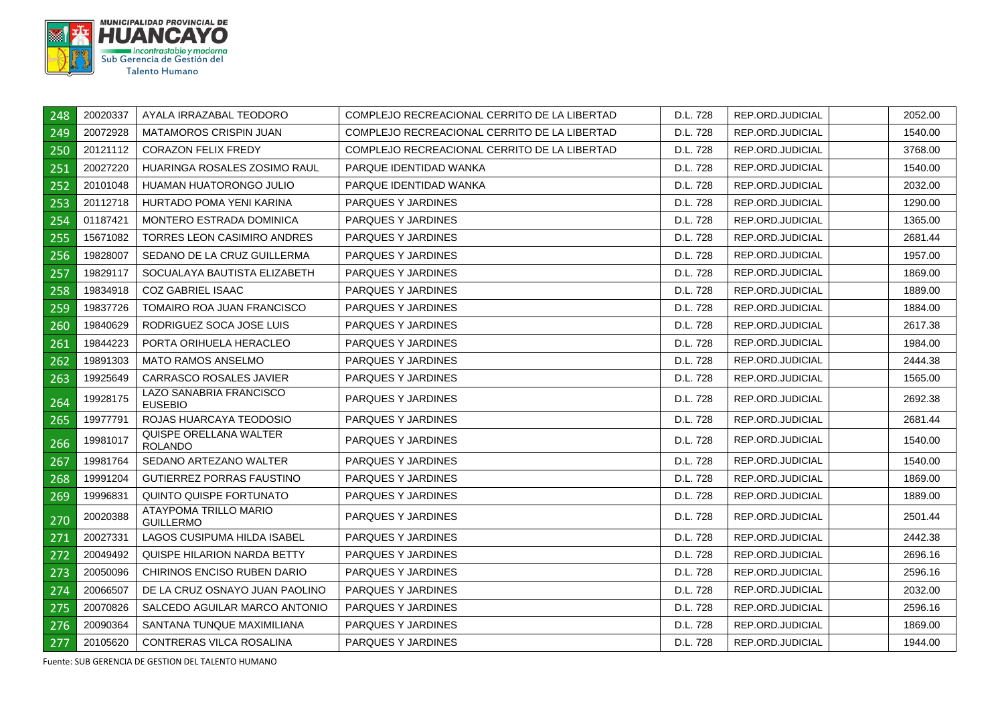

| 248 | 20020337 | AYALA IRRAZABAL TEODORO                          | COMPLEJO RECREACIONAL CERRITO DE LA LIBERTAD | D.L. 728 | REP.ORD.JUDICIAL | 2052.00 |
|-----|----------|--------------------------------------------------|----------------------------------------------|----------|------------------|---------|
| 249 | 20072928 | <b>MATAMOROS CRISPIN JUAN</b>                    | COMPLEJO RECREACIONAL CERRITO DE LA LIBERTAD | D.L. 728 | REP.ORD.JUDICIAL | 1540.00 |
| 250 | 20121112 | <b>CORAZON FELIX FREDY</b>                       | COMPLEJO RECREACIONAL CERRITO DE LA LIBERTAD | D.L. 728 | REP.ORD.JUDICIAL | 3768.00 |
| 251 | 20027220 | HUARINGA ROSALES ZOSIMO RAUL                     | PARQUE IDENTIDAD WANKA                       | D.L. 728 | REP.ORD.JUDICIAL | 1540.00 |
| 252 | 20101048 | HUAMAN HUATORONGO JULIO                          | PARQUE IDENTIDAD WANKA                       | D.L. 728 | REP.ORD.JUDICIAL | 2032.00 |
| 253 | 20112718 | HURTADO POMA YENI KARINA                         | PARQUES Y JARDINES                           | D.L. 728 | REP.ORD.JUDICIAL | 1290.00 |
| 254 | 01187421 | MONTERO ESTRADA DOMINICA                         | <b>PARQUES Y JARDINES</b>                    | D.L. 728 | REP.ORD.JUDICIAL | 1365.00 |
| 255 | 15671082 | <b>TORRES LEON CASIMIRO ANDRES</b>               | <b>PARQUES Y JARDINES</b>                    | D.L. 728 | REP.ORD.JUDICIAL | 2681.44 |
| 256 | 19828007 | SEDANO DE LA CRUZ GUILLERMA                      | PARQUES Y JARDINES                           | D.L. 728 | REP.ORD.JUDICIAL | 1957.00 |
| 257 | 19829117 | SOCUALAYA BAUTISTA ELIZABETH                     | <b>PARQUES Y JARDINES</b>                    | D.L. 728 | REP.ORD.JUDICIAL | 1869.00 |
| 258 | 19834918 | <b>COZ GABRIEL ISAAC</b>                         | PARQUES Y JARDINES                           | D.L. 728 | REP.ORD.JUDICIAL | 1889.00 |
| 259 | 19837726 | TOMAIRO ROA JUAN FRANCISCO                       | PARQUES Y JARDINES                           | D.L. 728 | REP.ORD.JUDICIAL | 1884.00 |
| 260 | 19840629 | RODRIGUEZ SOCA JOSE LUIS                         | PARQUES Y JARDINES                           | D.L. 728 | REP.ORD.JUDICIAL | 2617.38 |
| 261 | 19844223 | PORTA ORIHUELA HERACLEO                          | PARQUES Y JARDINES                           | D.L. 728 | REP.ORD.JUDICIAL | 1984.00 |
| 262 | 19891303 | <b>MATO RAMOS ANSELMO</b>                        | <b>PARQUES Y JARDINES</b>                    | D.L. 728 | REP.ORD.JUDICIAL | 2444.38 |
| 263 | 19925649 | CARRASCO ROSALES JAVIER                          | PARQUES Y JARDINES                           | D.L. 728 | REP.ORD.JUDICIAL | 1565.00 |
| 264 | 19928175 | LAZO SANABRIA FRANCISCO<br><b>EUSEBIO</b>        | PARQUES Y JARDINES                           | D.L. 728 | REP.ORD.JUDICIAL | 2692.38 |
| 265 | 19977791 | ROJAS HUARCAYA TEODOSIO                          | PARQUES Y JARDINES                           | D.L. 728 | REP.ORD.JUDICIAL | 2681.44 |
| 266 | 19981017 | QUISPE ORELLANA WALTER<br><b>ROLANDO</b>         | PARQUES Y JARDINES                           | D.L. 728 | REP.ORD.JUDICIAL | 1540.00 |
| 267 | 19981764 | SEDANO ARTEZANO WALTER                           | PARQUES Y JARDINES                           | D.L. 728 | REP.ORD.JUDICIAL | 1540.00 |
| 268 | 19991204 | GUTIERREZ PORRAS FAUSTINO                        | PARQUES Y JARDINES                           | D.L. 728 | REP.ORD.JUDICIAL | 1869.00 |
| 269 | 19996831 | QUINTO QUISPE FORTUNATO                          | PARQUES Y JARDINES                           | D.L. 728 | REP.ORD.JUDICIAL | 1889.00 |
| 270 | 20020388 | <b>ATAYPOMA TRILLO MARIO</b><br><b>GUILLERMO</b> | PARQUES Y JARDINES                           | D.L. 728 | REP.ORD.JUDICIAL | 2501.44 |
| 271 | 20027331 | LAGOS CUSIPUMA HILDA ISABEL                      | <b>PARQUES Y JARDINES</b>                    | D.L. 728 | REP.ORD.JUDICIAL | 2442.38 |
| 272 | 20049492 | QUISPE HILARION NARDA BETTY                      | PARQUES Y JARDINES                           | D.L. 728 | REP.ORD.JUDICIAL | 2696.16 |
| 273 | 20050096 | CHIRINOS ENCISO RUBEN DARIO                      | PARQUES Y JARDINES                           | D.L. 728 | REP.ORD.JUDICIAL | 2596.16 |
| 274 | 20066507 | DE LA CRUZ OSNAYO JUAN PAOLINO                   | PARQUES Y JARDINES                           | D.L. 728 | REP.ORD.JUDICIAL | 2032.00 |
| 275 | 20070826 | SALCEDO AGUILAR MARCO ANTONIO                    | <b>PARQUES Y JARDINES</b>                    | D.L. 728 | REP.ORD.JUDICIAL | 2596.16 |
| 276 | 20090364 | SANTANA TUNQUE MAXIMILIANA                       | PARQUES Y JARDINES                           | D.L. 728 | REP.ORD.JUDICIAL | 1869.00 |
| 277 | 20105620 | CONTRERAS VILCA ROSALINA                         | PARQUES Y JARDINES                           | D.L. 728 | REP.ORD.JUDICIAL | 1944.00 |